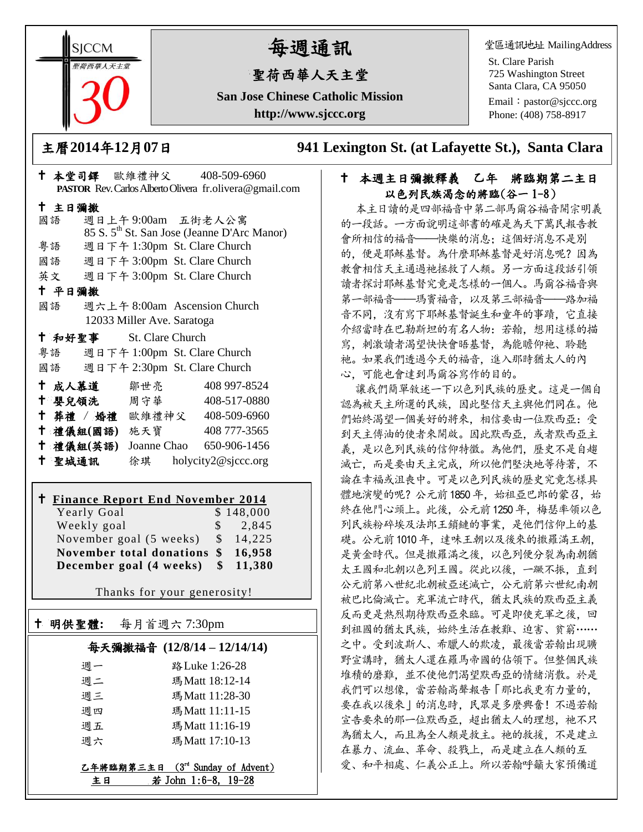**SICCM** 聖荷西華人天主堂

# 每週通訊

# 聖荷西華人天主堂

**San Jose Chinese Catholic Mission http://www.sjccc.org**

堂區通訊地址 MailingAddress

St. Clare Parish 725 Washington Street Santa Clara, CA 95050

Email: [pastor@sjccc.org](mailto:pastor@sjccc.org) Phone: (408) 758-8917

主曆**2014**年**12**月**07**日 **941 Lexington St. (at Lafayette St.), Santa Clara** 

### 本堂司鐸 歐維禮神父 408-509-6960 **PASTOR** Rev. Carlos Alberto Olivera fr.olivera@gmail.com 主日彌撒 國語 週日上午 9:00am 五街老人公寓 85 S. 5th St. San Jose (Jeanne D'Arc Manor) 粵語 週日下午 1:30pm St. Clare Church 國語 週日下午 3:00pm St. Clare Church 英文 週日下午 3:00pm St. Clare Church 平日彌撒 國語 週六上午 8:00am Ascension Church 12033 Miller Ave. Saratoga 和好聖事 St. Clare Church 粵語 週日下午 1:00pm St. Clare Church 國語 週日下午 2:30pm St. Clare Church 成人慕道 鄒世亮 408 997-8524 十 嬰兒領洗 周守華 408-517-0880 葬禮 / 婚禮 歐維禮神父 408-509-6960 禮儀組**(**國語**)** 施天寶 408 777-3565 禮儀組**(**英語**)** Joanne Chao 650-906-1456

聖城通訊 徐琪 holycity2@sjccc.org

# **Finance Report End November 2014**

明供聖體**:** 每月首週六 7:30pm

Ξ

Yearly Goal \$148,000 Weekly goal \$ 2,845 November goal (5 weeks) \$ 14,225 **November total donations \$ 16,958 December goal (4 weeks) \$ 11,380**

Thanks for your generosity!

# 每天彌撒福音 **(12/8/14 – 12/14/14)**

| 调一 | 路 Luke 1:26-28 |
|----|----------------|
| 调二 | 瑪Matt 18:12-14 |
| 週三 | 瑪Matt 11:28-30 |
| 週四 | 瑪Matt 11:11-15 |
| 週五 | 瑪Matt 11:16-19 |
| 调六 | 瑪Matt 17:10-13 |

| 乙年將臨期第三主日 (3rd Sunday of Advent) |  |                     |  |
|----------------------------------|--|---------------------|--|
| 主日                               |  | 若 John 1:6-8, 19-28 |  |

### 十 本週主日彌撒釋義 乙年 將臨期第二主日 以色列民族渴念的將臨(谷一 1-8)

本主日讀的是四部福音中第二部馬爾谷福音開宗明義 的一段話。一方面說明這部書的確是為天下萬民報告教 會所相信的福音——快樂的消息;這個好消息不是別 的,便是耶穌基督。為什麼耶穌基督是好消息呢?因為 教會相信天主通過祂拯救了人類。另一方面這段話引領 讀者探討耶穌基督究竟是怎樣的一個人。馬爾谷福音與 第一部福音——瑪竇福音, 以及第三部福音——路加福 音不同,沒有寫下耶穌基督誕生和童年的事蹟,它直接 介紹當時在巴勒斯坦的有名人物:若翰,想用這樣的描 寫,刺激讀者渴望快快會晤基督,為能瞻仰祂、聆聽 祂。如果我們透過今天的福音,進入那時猶太人的內 心,可能也會達到馬爾谷寫作的目的。

讓我們簡單敘述一下以色列民族的歷史。這是一個自 認為被天主所選的民族,因此堅信天主與他們同在。他 們始終渴望一個美好的將來,相信要由一位默西亞:受 到天主傅油的使者來開啟。因此默西亞,或者默西亞主 義,是以色列民族的信仰特徵。為他們,歷史不是自趨 滅亡,而是要由天主完成,所以他們堅決地等待著,不 論在幸福或沮喪中。可是以色列民族的歷史究竟怎樣具 體地演變的呢?公元前1850年,始祖亞巴郎的蒙召,始 終在他門心頭上。此後,公元前1250年,梅瑟率領以色 列民族粉碎埃及法郎王鎖鏈的事業,是他們信仰上的基 礎。公元前1010年,達味王朝以及後來的撒羅滿王朝, 是黃金時代。但是撒羅滿之後,以色列便分裂為南朝猶 太王國和北朝以色列王國。從此以後,一蹶不振,直到 公元前第八世紀北朝被亞述滅亡,公元前第六世紀南朝 被巴比倫滅亡。充軍流亡時代,猶太民族的默西亞主義 反而更是熱烈期待默西亞來臨。可是即使充軍之後,回 到祖國的猶太民族,始終生活在教難、迫害、貧窮…… 之中。受到波斯人、希臘人的欺凌, 最後當若翰出現曠 野宣講時,猶太人還在羅馬帝國的佔領下。但整個民族 堆積的磨難,並不使他們渴望默西亞的情緒消散。於是 我們可以想像,當若翰高聲報告「那比我更有力量的, 要在我以後來」的消息時,民眾是多麼興奮!不過若翰 宣告要來的那一位默西亞, 超出猶太人的理想, 祂不只 為猶太人,而且為全人類是救主。祂的救援,不是建立 在暴力、流血、革命、殺戮上,而是建立在人類的互 愛、和平相處、仁義公正上。所以若翰呼籲大家預備道